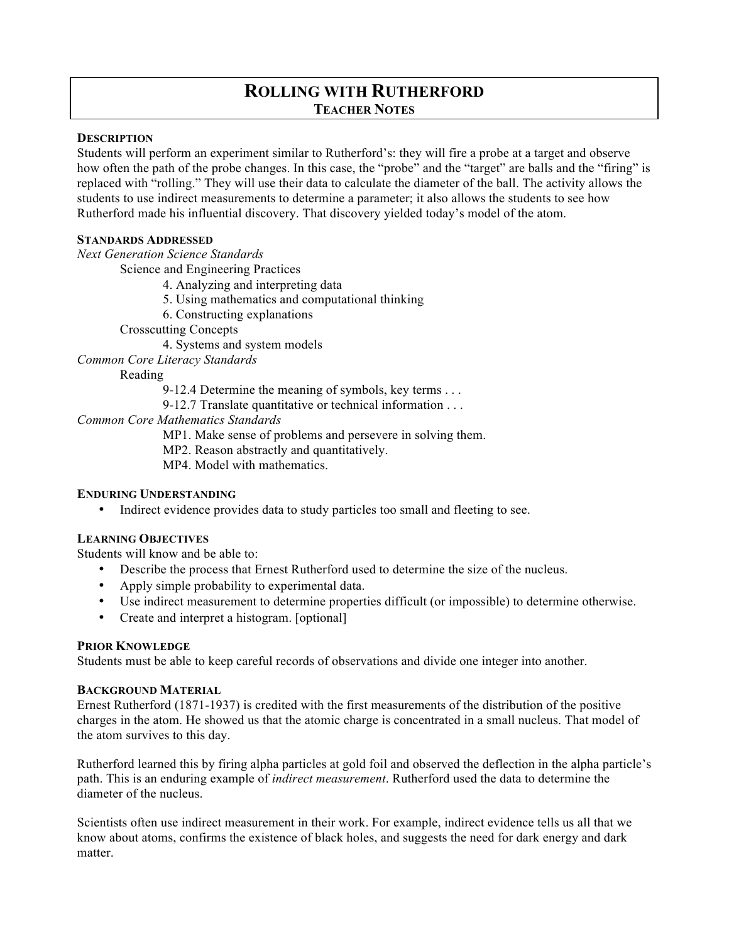# **ROLLING WITH RUTHERFORD TEACHER NOTES**

#### **DESCRIPTION**

Students will perform an experiment similar to Rutherford's: they will fire a probe at a target and observe how often the path of the probe changes. In this case, the "probe" and the "target" are balls and the "firing" is replaced with "rolling." They will use their data to calculate the diameter of the ball. The activity allows the students to use indirect measurements to determine a parameter; it also allows the students to see how Rutherford made his influential discovery. That discovery yielded today's model of the atom.

### **STANDARDS ADDRESSED**

*Next Generation Science Standards*

Science and Engineering Practices

- 4. Analyzing and interpreting data
- 5. Using mathematics and computational thinking
- 6. Constructing explanations

Crosscutting Concepts

4. Systems and system models

*Common Core Literacy Standards*

Reading

9-12.4 Determine the meaning of symbols, key terms . . .

9-12.7 Translate quantitative or technical information . . .

*Common Core Mathematics Standards*

MP1. Make sense of problems and persevere in solving them.

MP2. Reason abstractly and quantitatively.

MP4. Model with mathematics.

# **ENDURING UNDERSTANDING**

• Indirect evidence provides data to study particles too small and fleeting to see.

### **LEARNING OBJECTIVES**

Students will know and be able to:

- Describe the process that Ernest Rutherford used to determine the size of the nucleus.
- Apply simple probability to experimental data.
- Use indirect measurement to determine properties difficult (or impossible) to determine otherwise.
- Create and interpret a histogram. [optional]

# **PRIOR KNOWLEDGE**

Students must be able to keep careful records of observations and divide one integer into another.

#### **BACKGROUND MATERIAL**

Ernest Rutherford (1871-1937) is credited with the first measurements of the distribution of the positive charges in the atom. He showed us that the atomic charge is concentrated in a small nucleus. That model of the atom survives to this day.

Rutherford learned this by firing alpha particles at gold foil and observed the deflection in the alpha particle's path. This is an enduring example of *indirect measurement*. Rutherford used the data to determine the diameter of the nucleus.

Scientists often use indirect measurement in their work. For example, indirect evidence tells us all that we know about atoms, confirms the existence of black holes, and suggests the need for dark energy and dark matter.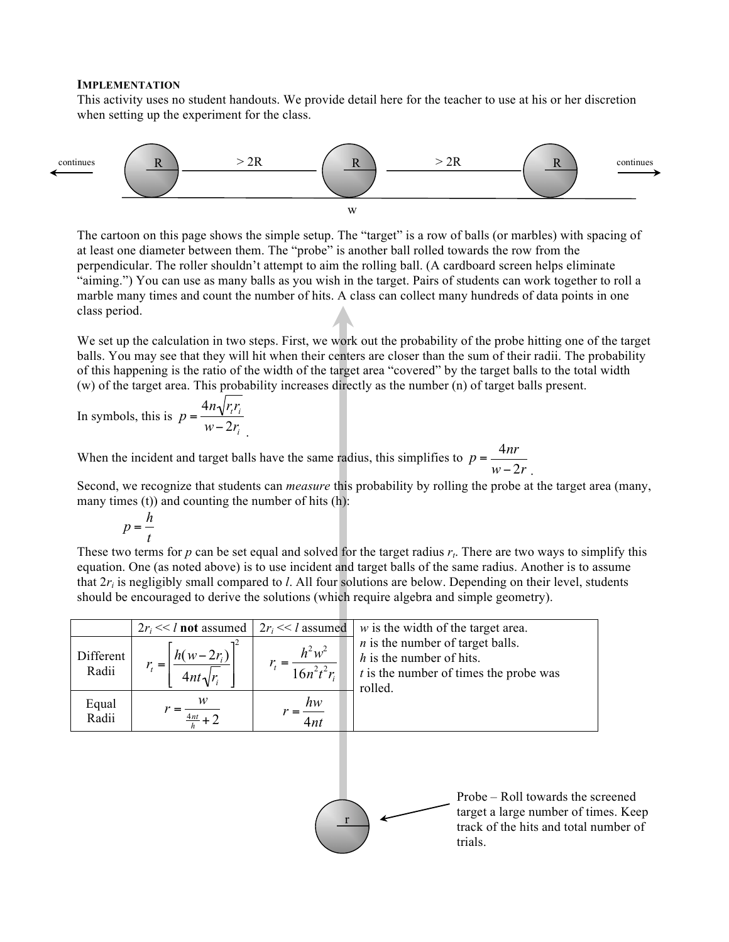#### **IMPLEMENTATION**

This activity uses no student handouts. We provide detail here for the teacher to use at his or her discretion when setting up the experiment for the class.



The cartoon on this page shows the simple setup. The "target" is a row of balls (or marbles) with spacing of at least one diameter between them. The "probe" is another ball rolled towards the row from the perpendicular. The roller shouldn't attempt to aim the rolling ball. (A cardboard screen helps eliminate "aiming.") You can use as many balls as you wish in the target. Pairs of students can work together to roll a marble many times and count the number of hits. A class can collect many hundreds of data points in one class period.

We set up the calculation in two steps. First, we work out the probability of the probe hitting one of the target balls. You may see that they will hit when their centers are closer than the sum of their radii. The probability of this happening is the ratio of the width of the target area "covered" by the target balls to the total width (w) of the target area. This probability increases directly as the number (n) of target balls present.

In symbols, this is  $p = \frac{4n\sqrt{r_t r_i}}{2}$  $w-2r_i$ <sub>.</sub>

When the incident and target balls have the same radius, this simplifies to  $p = \frac{4nr}{\epsilon}$  $w-2r$ .

Second, we recognize that students can *measure* this probability by rolling the probe at the target area (many, many times  $(t)$ ) and counting the number of hits  $(h)$ :

$$
p = \frac{h}{t}
$$

 These two terms for  $p$  can be set equal and solved for the target radius  $r_t$ . There are two ways to simplify this equation. One (as noted above) is to use incident and target balls of the same radius. Another is to assume that  $2r_i$  is negligibly small compared to *l*. All four solutions are below. Depending on their level, students should be encouraged to derive the solutions (which require algebra and simple geometry).

|                    | $2r_i \ll l$ not assumed     | $2r_i \ll l$ assumed      | $w$ is the width of the target area.                                                                                    |
|--------------------|------------------------------|---------------------------|-------------------------------------------------------------------------------------------------------------------------|
| Different<br>Radii | $h(w-2r_i)$<br>$4nt\sqrt{r}$ | $h^2w^2$<br>$16n^2t^2r_i$ | $n$ is the number of target balls.<br>$h$ is the number of hits.<br>$t$ is the number of times the probe was<br>rolled. |
| Equal<br>Radii     |                              | $\frac{hw}{\cdot}$<br>4nt |                                                                                                                         |
|                    |                              |                           |                                                                                                                         |



Probe – Roll towards the screened target a large number of times. Keep track of the hits and total number of trials.